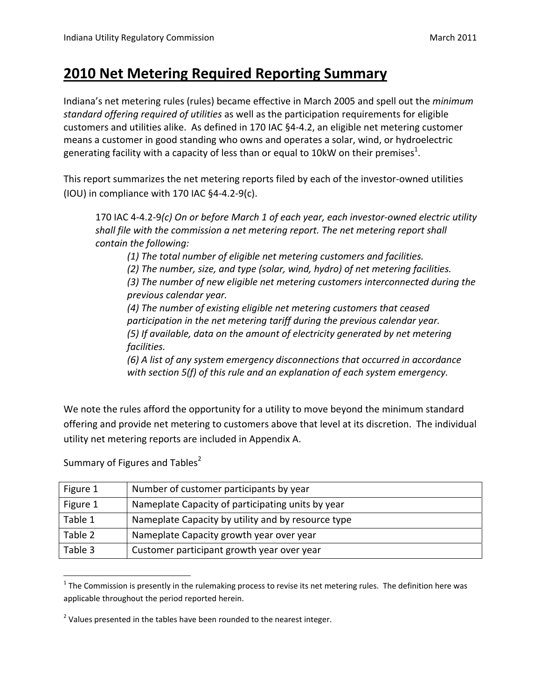#### **2010 Net Metering Required Reporting Summary**

Indiana's net metering rules (rules) became effective in March 2005 and spell out the *minimum standard offering required of utilities* as well as the participation requirements for eligible customers and utilities alike. As defined in 170 IAC §4‐4.2, an eligible net metering customer means a customer in good standing who owns and operates a solar, wind, or hydroelectric generating facility with a capacity of less than or equal to 10kW on their premises $^1$ .

This report summarizes the net metering reports filed by each of the investor‐owned utilities (IOU) in compliance with 170 IAC §4‐4.2‐9(c).

170 IAC 4‐4.2‐9*(c) On or before March 1 of each year, each investor‐owned electric utility shall file with the commission a net metering report. The net metering report shall contain the following:*

*(1) The total number of eligible net metering customers and facilities.*

*(2) The number, size, and type (solar, wind, hydro) of net metering facilities. (3) The number of new eligible net metering customers interconnected during the*

*previous calendar year.*

*(4) The number of existing eligible net metering customers that ceased participation in the net metering tariff during the previous calendar year. (5) If available, data on the amount of electricity generated by net metering facilities.*

*(6) A list of any system emergency disconnections that occurred in accordance with section 5(f) of this rule and an explanation of each system emergency.*

We note the rules afford the opportunity for a utility to move beyond the minimum standard offering and provide net metering to customers above that level at its discretion. The individual utility net metering reports are included in Appendix A.

| Figure 1 | Number of customer participants by year            |
|----------|----------------------------------------------------|
| Figure 1 | Nameplate Capacity of participating units by year  |
| Table 1  | Nameplate Capacity by utility and by resource type |
| Table 2  | Nameplate Capacity growth year over year           |
| Table 3  | Customer participant growth year over year         |

Summary of Figures and Tables<sup>2</sup>

 $1$  The Commission is presently in the rulemaking process to revise its net metering rules. The definition here was applicable throughout the period reported herein.

 $2$  Values presented in the tables have been rounded to the nearest integer.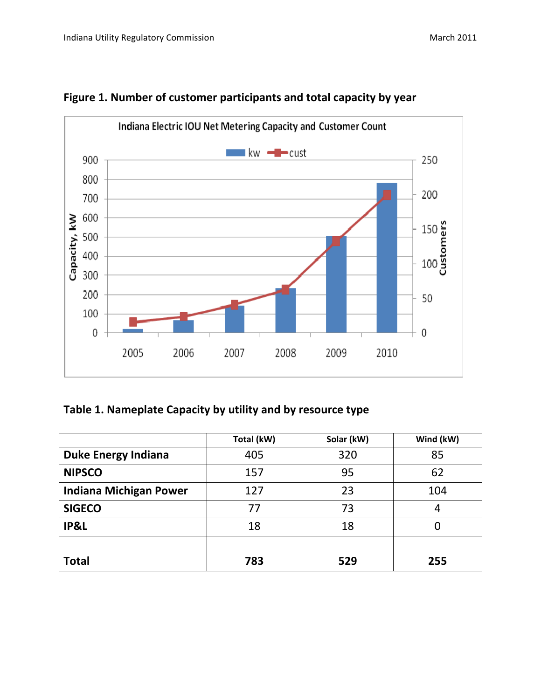

#### **Figure 1. Number of customer participants and total capacity by year**

#### **Table 1. Nameplate Capacity by utility and by resource type**

|                               | Total (kW) | Solar (kW) | Wind (kW) |
|-------------------------------|------------|------------|-----------|
| <b>Duke Energy Indiana</b>    | 405        | 320        | 85        |
| <b>NIPSCO</b>                 | 157        | 95         | 62        |
| <b>Indiana Michigan Power</b> | 127        | 23         | 104       |
| <b>SIGECO</b>                 | 77         | 73         | 4         |
| IP&L                          | 18         | 18         | 0         |
| <b>Total</b>                  | 783        | 529        | 255       |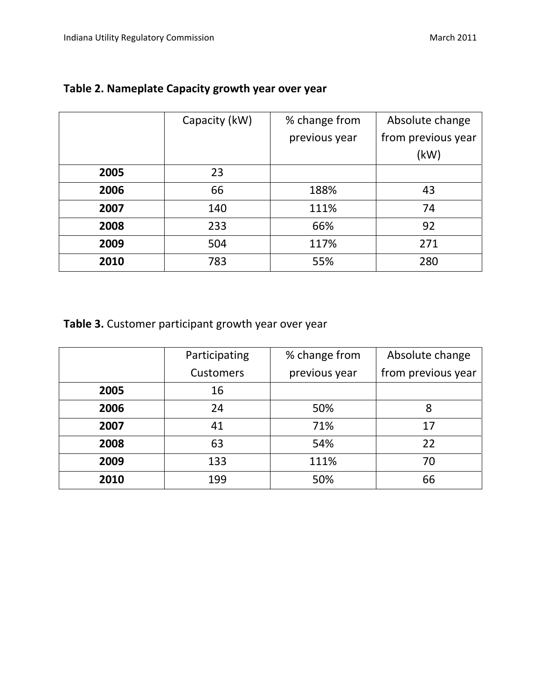|      | Capacity (kW) | % change from | Absolute change    |
|------|---------------|---------------|--------------------|
|      |               | previous year | from previous year |
|      |               |               | (kW)               |
| 2005 | 23            |               |                    |
| 2006 | 66            | 188%          | 43                 |
| 2007 | 140           | 111%          | 74                 |
| 2008 | 233           | 66%           | 92                 |
| 2009 | 504           | 117%          | 271                |
| 2010 | 783           | 55%           | 280                |

#### **Table 2. Nameplate Capacity growth year over year**

**Table 3.** Customer participant growth year over year

|      | Participating    | % change from | Absolute change    |
|------|------------------|---------------|--------------------|
|      | <b>Customers</b> | previous year | from previous year |
| 2005 | 16               |               |                    |
| 2006 | 24               | 50%           | 8                  |
| 2007 | 41               | 71%           | 17                 |
| 2008 | 63               | 54%           | 22                 |
| 2009 | 133              | 111%          | 70                 |
| 2010 | 199              | 50%           | 66                 |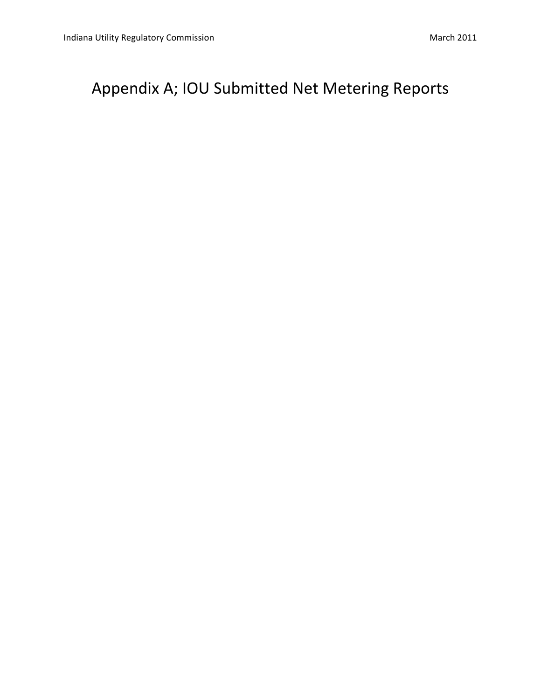### Appendix A; IOU Submitted Net Metering Reports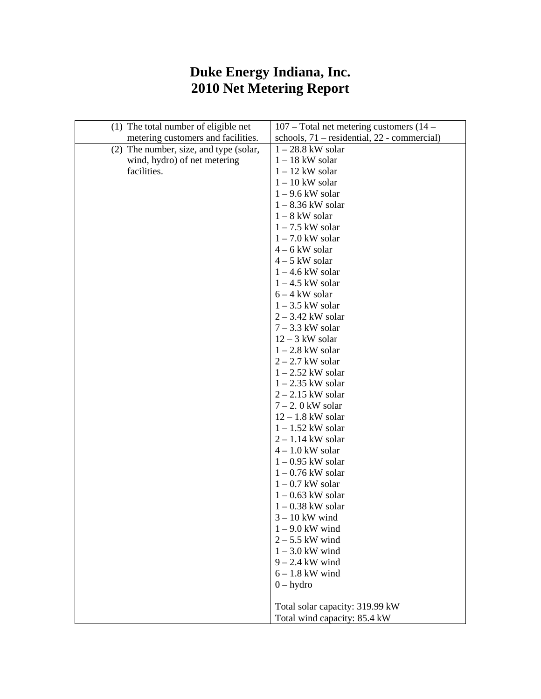#### **Duke Energy Indiana, Inc. 2010 Net Metering Report**

| (1) The total number of eligible net   | 107 – Total net metering customers (14 –    |
|----------------------------------------|---------------------------------------------|
| metering customers and facilities.     | schools, 71 - residential, 22 - commercial) |
| (2) The number, size, and type (solar, | $1 - 28.8$ kW solar                         |
| wind, hydro) of net metering           | $1 - 18$ kW solar                           |
| facilities.                            | $1 - 12$ kW solar                           |
|                                        | $1 - 10$ kW solar                           |
|                                        | $1 - 9.6$ kW solar                          |
|                                        | $1 - 8.36$ kW solar                         |
|                                        | $1 - 8$ kW solar                            |
|                                        | $1 - 7.5$ kW solar                          |
|                                        | $1 - 7.0$ kW solar                          |
|                                        | $4 - 6$ kW solar                            |
|                                        | $4 - 5$ kW solar                            |
|                                        | $1 - 4.6$ kW solar                          |
|                                        | $1 - 4.5$ kW solar                          |
|                                        | $6 - 4$ kW solar                            |
|                                        | $1 - 3.5$ kW solar                          |
|                                        | $2 - 3.42$ kW solar                         |
|                                        | $7 - 3.3$ kW solar                          |
|                                        | $12 - 3$ kW solar                           |
|                                        | $1 - 2.8$ kW solar                          |
|                                        | $2 - 2.7$ kW solar                          |
|                                        | $1 - 2.52$ kW solar                         |
|                                        | $1 - 2.35$ kW solar                         |
|                                        | $2 - 2.15$ kW solar                         |
|                                        | $7 - 2$ . 0 kW solar                        |
|                                        | $12 - 1.8$ kW solar                         |
|                                        | $1 - 1.52$ kW solar                         |
|                                        | $2 - 1.14$ kW solar                         |
|                                        | $4 - 1.0$ kW solar                          |
|                                        | $1 - 0.95$ kW solar                         |
|                                        | $1 - 0.76$ kW solar                         |
|                                        | $1 - 0.7$ kW solar                          |
|                                        | $1 - 0.63$ kW solar                         |
|                                        | $1 - 0.38$ kW solar                         |
|                                        | $3 - 10$ kW wind                            |
|                                        | $1 - 9.0$ kW wind                           |
|                                        | $2 - 5.5$ kW wind                           |
|                                        | $1 - 3.0$ kW wind                           |
|                                        | $9 - 2.4$ kW wind                           |
|                                        | $6 - 1.8$ kW wind                           |
|                                        | $0 - hydro$                                 |
|                                        |                                             |
|                                        | Total solar capacity: 319.99 kW             |
|                                        | Total wind capacity: 85.4 kW                |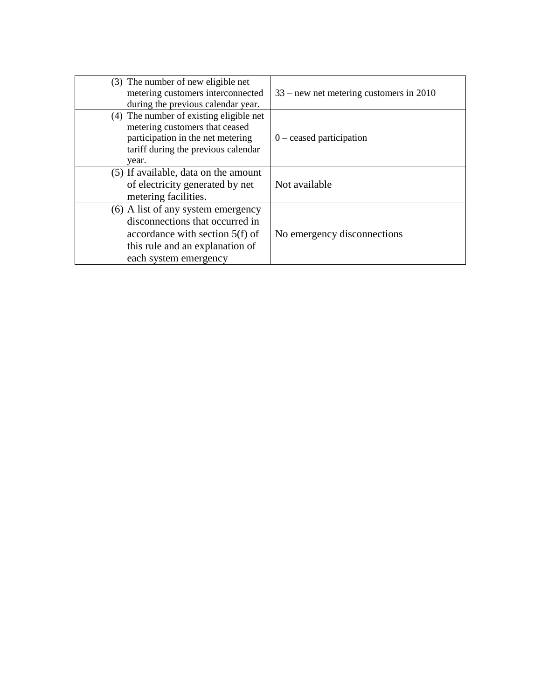| (3) The number of new eligible net<br>metering customers interconnected<br>during the previous calendar year.                                                          | $33$ – new net metering customers in 2010 |
|------------------------------------------------------------------------------------------------------------------------------------------------------------------------|-------------------------------------------|
| (4) The number of existing eligible net<br>metering customers that ceased<br>participation in the net metering<br>tariff during the previous calendar<br>year.         | $0$ – ceased participation                |
| (5) If available, data on the amount<br>of electricity generated by net<br>metering facilities.                                                                        | Not available                             |
| (6) A list of any system emergency<br>disconnections that occurred in<br>accordance with section $5(f)$ of<br>this rule and an explanation of<br>each system emergency | No emergency disconnections               |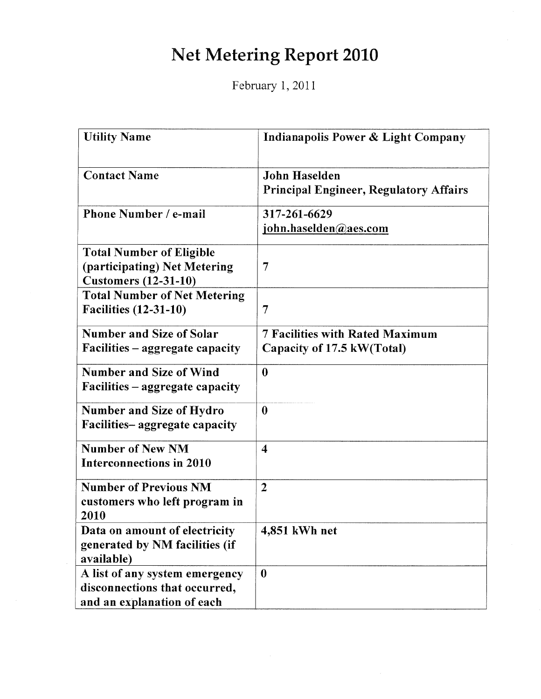## Net Metering Report 2010

February 1, 2011

| <b>Utility Name</b>                                                                            | Indianapolis Power & Light Company                                    |
|------------------------------------------------------------------------------------------------|-----------------------------------------------------------------------|
| <b>Contact Name</b>                                                                            | <b>John Haselden</b><br><b>Principal Engineer, Regulatory Affairs</b> |
| Phone Number / e-mail                                                                          | 317-261-6629<br>john.haselden@aes.com                                 |
| <b>Total Number of Eligible</b><br>(participating) Net Metering<br><b>Customers (12-31-10)</b> | 7                                                                     |
| <b>Total Number of Net Metering</b><br><b>Facilities (12-31-10)</b>                            | 7                                                                     |
| <b>Number and Size of Solar</b><br>Facilities – aggregate capacity                             | <b>7 Facilities with Rated Maximum</b><br>Capacity of 17.5 kW(Total)  |
| Number and Size of Wind<br>Facilities – aggregate capacity                                     | $\bf{0}$                                                              |
| <b>Number and Size of Hydro</b><br>Facilities-aggregate capacity                               | $\bf{0}$                                                              |
| <b>Number of New NM</b><br>Interconnections in 2010                                            | $\overline{\mathbf{4}}$                                               |
| <b>Number of Previous NM</b><br>customers who left program in<br>2010                          | $\overline{2}$                                                        |
| Data on amount of electricity<br>generated by NM facilities (if<br>available)                  | 4,851 kWh net                                                         |
| A list of any system emergency<br>disconnections that occurred,<br>and an explanation of each  | $\boldsymbol{0}$                                                      |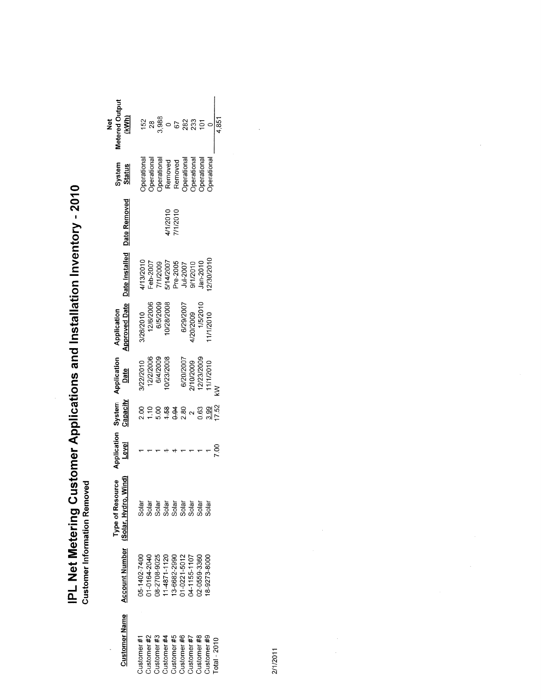| <b>Customer Name</b>                                                                                                                                                                                                                                                                                                           | <b>Account Number</b>                                                         | Type of Resource<br>Solar, Hydro, Wind)<br>(Solar, Hydro, V | Application<br><b>Level</b> | System<br>Capacity | Application<br>Date                               | <b>Approved Date</b><br>Application              | Date Installed                                                                     | Date Removed         | System<br>S <u>tatus</u>                                                                                     | <b>Metered Outpu</b><br>(kWh)<br>ğ        |
|--------------------------------------------------------------------------------------------------------------------------------------------------------------------------------------------------------------------------------------------------------------------------------------------------------------------------------|-------------------------------------------------------------------------------|-------------------------------------------------------------|-----------------------------|--------------------|---------------------------------------------------|--------------------------------------------------|------------------------------------------------------------------------------------|----------------------|--------------------------------------------------------------------------------------------------------------|-------------------------------------------|
|                                                                                                                                                                                                                                                                                                                                | 15-1402-7400                                                                  |                                                             |                             |                    |                                                   |                                                  |                                                                                    |                      |                                                                                                              |                                           |
|                                                                                                                                                                                                                                                                                                                                | 1-0164-2040                                                                   |                                                             |                             |                    |                                                   |                                                  |                                                                                    |                      |                                                                                                              | $152$<br>$28$                             |
|                                                                                                                                                                                                                                                                                                                                |                                                                               |                                                             |                             |                    | V22/2010<br>12/2/2006<br>6/4/2009<br>10/23/2008   | 3/26/2010<br>12/6/2006<br>6/5/2009<br>10/28/2008 |                                                                                    |                      |                                                                                                              |                                           |
|                                                                                                                                                                                                                                                                                                                                |                                                                               |                                                             |                             |                    |                                                   |                                                  |                                                                                    |                      |                                                                                                              |                                           |
|                                                                                                                                                                                                                                                                                                                                |                                                                               |                                                             |                             |                    |                                                   |                                                  |                                                                                    | 1/1/2010<br>7/1/2010 |                                                                                                              |                                           |
|                                                                                                                                                                                                                                                                                                                                |                                                                               |                                                             |                             |                    |                                                   |                                                  |                                                                                    |                      |                                                                                                              |                                           |
| $\begin{array}{l} \text{Cutsomer } \#1 \\ \text{Cutsomer } \#2 \\ \text{Cutsomer } \#4 \\ \text{Cutsomer } \#4 \\ \text{Cutsomer } \#5 \\ \text{Cutsomer } \#5 \\ \text{Cutsomer } \#6 \\ \text{Cutsomer } \#6 \\ \text{Cutsomer } \#6 \\ \text{Cutsomer } \#6 \\ \text{Cutsomer } \#6 \\ \text{Cutsomer } \#6 \\ \end{array}$ | 08-2708-9025<br>11-4871-1120<br>113-6682-2990<br>01-0221-5012<br>04-1155-1107 | ង<br>កូនី មិនី មិនី មិនី មិនី<br>ទី បិនី បិនី បិនី បិនី     |                             |                    |                                                   |                                                  | 4/13/2010<br>Feb-2007<br>7/1/2009<br>5/14/2007<br>Pre-2005<br>9/1/2010<br>9/1/2010 |                      |                                                                                                              | <sub>ទី ೦</sub> ៤ <u>ដូ</u><br>ភូមិ ៥ ដូន |
|                                                                                                                                                                                                                                                                                                                                | 2-0559-3360                                                                   |                                                             |                             |                    |                                                   |                                                  |                                                                                    |                      |                                                                                                              |                                           |
|                                                                                                                                                                                                                                                                                                                                | 8-9273-8000                                                                   |                                                             |                             |                    | 6/20/2007<br>2/10/2009<br>12/23/2009<br>11/1/2010 | 6/29/2007<br>4/20/2009<br>1/5/2010<br>1/1/2010   | 2/30/2010                                                                          |                      | Operational<br>Operational<br>Operational<br>Removed<br>Removed<br>Operational<br>Operational<br>Operational |                                           |
| $Total - 2010$                                                                                                                                                                                                                                                                                                                 |                                                                               |                                                             |                             |                    |                                                   |                                                  |                                                                                    |                      |                                                                                                              | 4,851                                     |

IPL Net Metering Customer Applications and Installation Inventory - 2010<br>Customer Information Removed

2/1/2011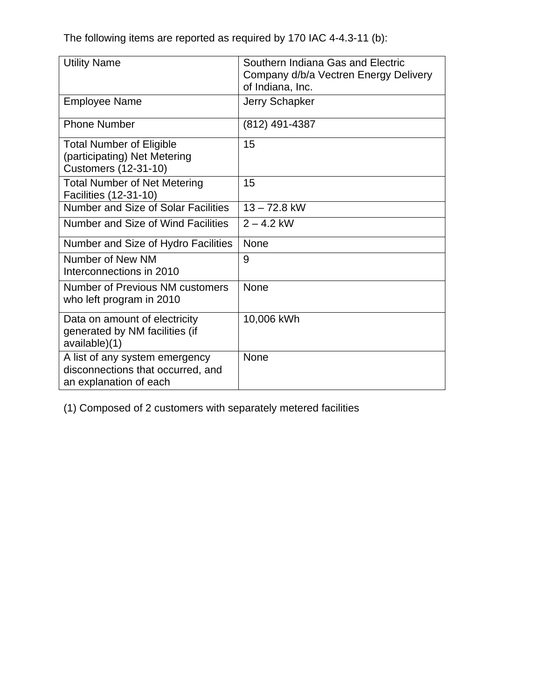The following items are reported as required by 170 IAC 4-4.3-11 (b):

| <b>Utility Name</b>                                                                            | Southern Indiana Gas and Electric<br>Company d/b/a Vectren Energy Delivery<br>of Indiana, Inc. |
|------------------------------------------------------------------------------------------------|------------------------------------------------------------------------------------------------|
| <b>Employee Name</b>                                                                           | Jerry Schapker                                                                                 |
| <b>Phone Number</b>                                                                            | (812) 491-4387                                                                                 |
| <b>Total Number of Eligible</b><br>(participating) Net Metering<br><b>Customers (12-31-10)</b> | 15                                                                                             |
| <b>Total Number of Net Metering</b><br>Facilities (12-31-10)                                   | 15                                                                                             |
| Number and Size of Solar Facilities                                                            | $13 - 72.8$ kW                                                                                 |
| Number and Size of Wind Facilities                                                             | $2 - 4.2$ kW                                                                                   |
| Number and Size of Hydro Facilities                                                            | <b>None</b>                                                                                    |
| Number of New NM<br>Interconnections in 2010                                                   | 9                                                                                              |
| Number of Previous NM customers<br>who left program in 2010                                    | <b>None</b>                                                                                    |
| Data on amount of electricity<br>generated by NM facilities (if<br>available)(1)               | 10,006 kWh                                                                                     |
| A list of any system emergency<br>disconnections that occurred, and<br>an explanation of each  | None                                                                                           |

(1) Composed of 2 customers with separately metered facilities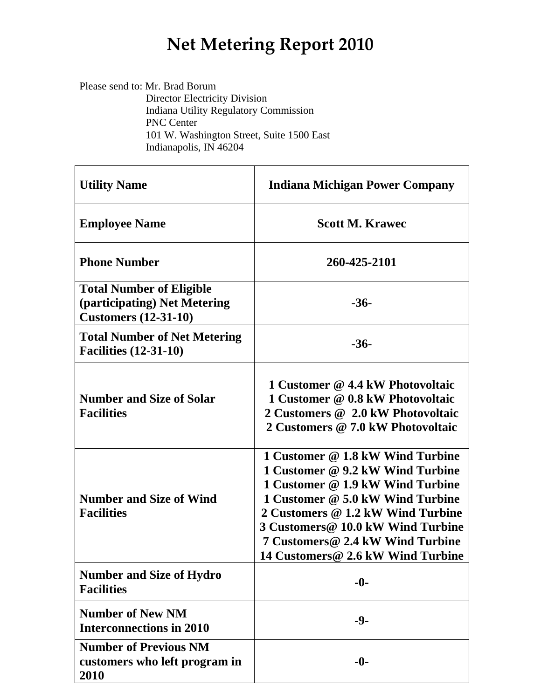## **Net Metering Report 2010**

Please send to: Mr. Brad Borum Director Electricity Division Indiana Utility Regulatory Commission PNC Center 101 W. Washington Street, Suite 1500 East Indianapolis, IN 46204

| <b>Utility Name</b>                                                                            | <b>Indiana Michigan Power Company</b>                                                                                                                                                                                                                                                           |
|------------------------------------------------------------------------------------------------|-------------------------------------------------------------------------------------------------------------------------------------------------------------------------------------------------------------------------------------------------------------------------------------------------|
| <b>Employee Name</b>                                                                           | <b>Scott M. Krawec</b>                                                                                                                                                                                                                                                                          |
| <b>Phone Number</b>                                                                            | 260-425-2101                                                                                                                                                                                                                                                                                    |
| <b>Total Number of Eligible</b><br>(participating) Net Metering<br><b>Customers (12-31-10)</b> | $-36-$                                                                                                                                                                                                                                                                                          |
| <b>Total Number of Net Metering</b><br><b>Facilities (12-31-10)</b>                            | $-36-$                                                                                                                                                                                                                                                                                          |
| <b>Number and Size of Solar</b><br><b>Facilities</b>                                           | 1 Customer @ 4.4 kW Photovoltaic<br>1 Customer @ 0.8 kW Photovoltaic<br>2 Customers @ 2.0 kW Photovoltaic<br>2 Customers @ 7.0 kW Photovoltaic                                                                                                                                                  |
| <b>Number and Size of Wind</b><br><b>Facilities</b>                                            | 1 Customer @ 1.8 kW Wind Turbine<br>1 Customer @ 9.2 kW Wind Turbine<br>1 Customer @ 1.9 kW Wind Turbine<br>1 Customer @ 5.0 kW Wind Turbine<br>2 Customers @ 1.2 kW Wind Turbine<br>3 Customers@ 10.0 kW Wind Turbine<br>7 Customers@ 2.4 kW Wind Turbine<br>14 Customers@ 2.6 kW Wind Turbine |
| <b>Number and Size of Hydro</b><br><b>Facilities</b>                                           | $-0-$                                                                                                                                                                                                                                                                                           |
| <b>Number of New NM</b><br><b>Interconnections in 2010</b>                                     | $-9-$                                                                                                                                                                                                                                                                                           |
| <b>Number of Previous NM</b><br>customers who left program in<br>2010                          | $-0-$                                                                                                                                                                                                                                                                                           |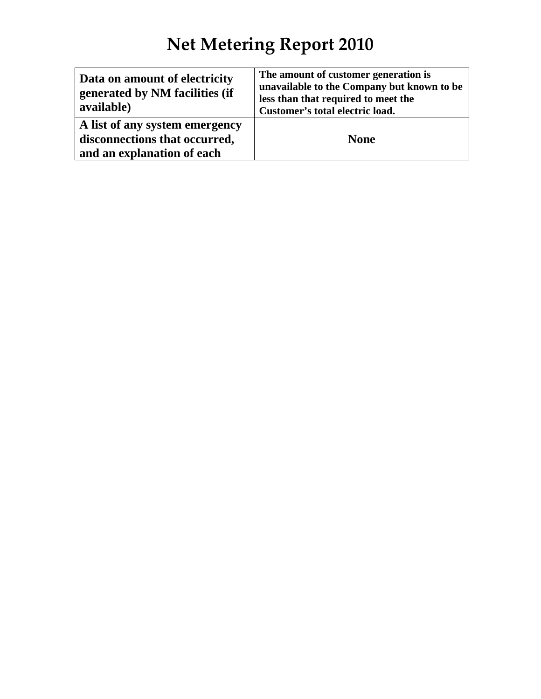# **Net Metering Report 2010**

| Data on amount of electricity<br>generated by NM facilities (if<br>available) | The amount of customer generation is<br>unavailable to the Company but known to be<br>less than that required to meet the<br>Customer's total electric load. |
|-------------------------------------------------------------------------------|--------------------------------------------------------------------------------------------------------------------------------------------------------------|
| A list of any system emergency                                                |                                                                                                                                                              |
| disconnections that occurred,                                                 | <b>None</b>                                                                                                                                                  |
| and an explanation of each                                                    |                                                                                                                                                              |